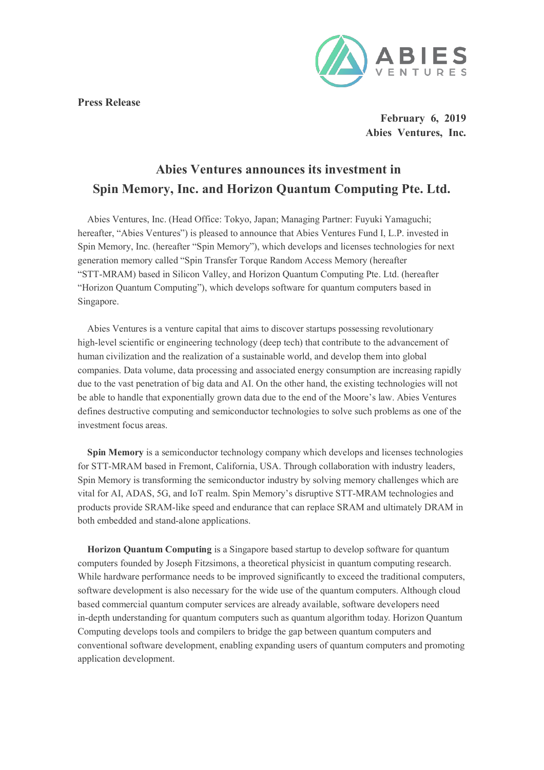**Press Release**



**February 6, 2019 Abies Ventures, Inc.**

## **Abies Ventures announces its investment in Spin Memory, Inc. and Horizon Quantum Computing Pte. Ltd.**

Abies Ventures, Inc. (Head Office: Tokyo, Japan; Managing Partner: Fuyuki Yamaguchi; hereafter, "Abies Ventures") is pleased to announce that Abies Ventures Fund I, L.P. invested in Spin Memory, Inc. (hereafter "Spin Memory"), which develops and licenses technologies for next generation memory called "Spin Transfer Torque Random Access Memory (hereafter "STT-MRAM) based in Silicon Valley, and Horizon Quantum Computing Pte. Ltd. (hereafter "Horizon Quantum Computing"), which develops software for quantum computers based in Singapore.

Abies Ventures is a venture capital that aims to discover startups possessing revolutionary high-level scientific or engineering technology (deep tech) that contribute to the advancement of human civilization and the realization of a sustainable world, and develop them into global companies. Data volume, data processing and associated energy consumption are increasing rapidly due to the vast penetration of big data and AI. On the other hand, the existing technologies will not be able to handle that exponentially grown data due to the end of the Moore's law. Abies Ventures defines destructive computing and semiconductor technologies to solve such problems as one of the investment focus areas.

**Spin Memory** is a semiconductor technology company which develops and licenses technologies for STT-MRAM based in Fremont, California, USA. Through collaboration with industry leaders, Spin Memory is transforming the semiconductor industry by solving memory challenges which are vital for AI, ADAS, 5G, and IoT realm. Spin Memory's disruptive STT-MRAM technologies and products provide SRAM-like speed and endurance that can replace SRAM and ultimately DRAM in both embedded and stand-alone applications.

**Horizon Quantum Computing** is a Singapore based startup to develop software for quantum computers founded by Joseph Fitzsimons, a theoretical physicist in quantum computing research. While hardware performance needs to be improved significantly to exceed the traditional computers, software development is also necessary for the wide use of the quantum computers. Although cloud based commercial quantum computer services are already available, software developers need in-depth understanding for quantum computers such as quantum algorithm today. Horizon Quantum Computing develops tools and compilers to bridge the gap between quantum computers and conventional software development, enabling expanding users of quantum computers and promoting application development.